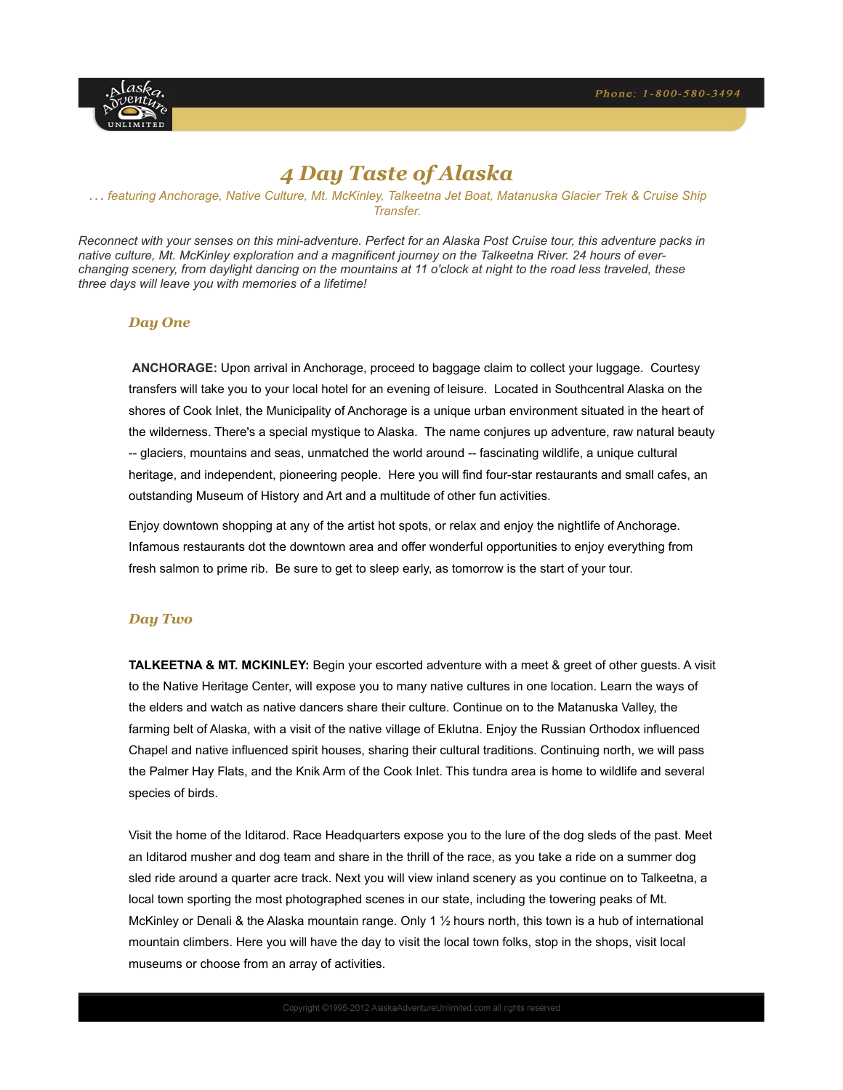

# *4 Day Taste of Alaska*

# *… featuring Anchorage, Native Culture, Mt. McKinley, Talkeetna Jet Boat, Matanuska Glacier Trek & Cruise Ship Transfer.*

*Reconnect with your senses on this mini-adventure. Perfect for an Alaska Post Cruise tour, this adventure packs in native culture, Mt. McKinley exploration and a magnificent journey on the Talkeetna River. 24 hours of everchanging scenery, from daylight dancing on the mountains at 11 o'clock at night to the road less traveled, these three days will leave you with memories of a lifetime!* 

#### *Day One*

**ANCHORAGE:** Upon arrival in Anchorage, proceed to baggage claim to collect your luggage. Courtesy transfers will take you to your local hotel for an evening of leisure. Located in Southcentral Alaska on the shores of Cook Inlet, the Municipality of Anchorage is a unique urban environment situated in the heart of the wilderness. There's a special mystique to Alaska. The name conjures up adventure, raw natural beauty -- glaciers, mountains and seas, unmatched the world around -- fascinating wildlife, a unique cultural heritage, and independent, pioneering people. Here you will find four-star restaurants and small cafes, an outstanding Museum of History and Art and a multitude of other fun activities.

Enjoy downtown shopping at any of the artist hot spots, or relax and enjoy the nightlife of Anchorage. Infamous restaurants dot the downtown area and offer wonderful opportunities to enjoy everything from fresh salmon to prime rib. Be sure to get to sleep early, as tomorrow is the start of your tour.

# *Day Two*

**TALKEETNA & MT. MCKINLEY:** Begin your escorted adventure with a meet & greet of other guests. A visit to the Native Heritage Center, will expose you to many native cultures in one location. Learn the ways of the elders and watch as native dancers share their culture. Continue on to the Matanuska Valley, the farming belt of Alaska, with a visit of the native village of Eklutna. Enjoy the Russian Orthodox influenced Chapel and native influenced spirit houses, sharing their cultural traditions. Continuing north, we will pass the Palmer Hay Flats, and the Knik Arm of the Cook Inlet. This tundra area is home to wildlife and several species of birds.

Visit the home of the Iditarod. Race Headquarters expose you to the lure of the dog sleds of the past. Meet an Iditarod musher and dog team and share in the thrill of the race, as you take a ride on a summer dog sled ride around a quarter acre track. Next you will view inland scenery as you continue on to Talkeetna, a local town sporting the most photographed scenes in our state, including the towering peaks of Mt. McKinley or Denali & the Alaska mountain range. Only 1 ½ hours north, this town is a hub of international mountain climbers. Here you will have the day to visit the local town folks, stop in the shops, visit local museums or choose from an array of activities.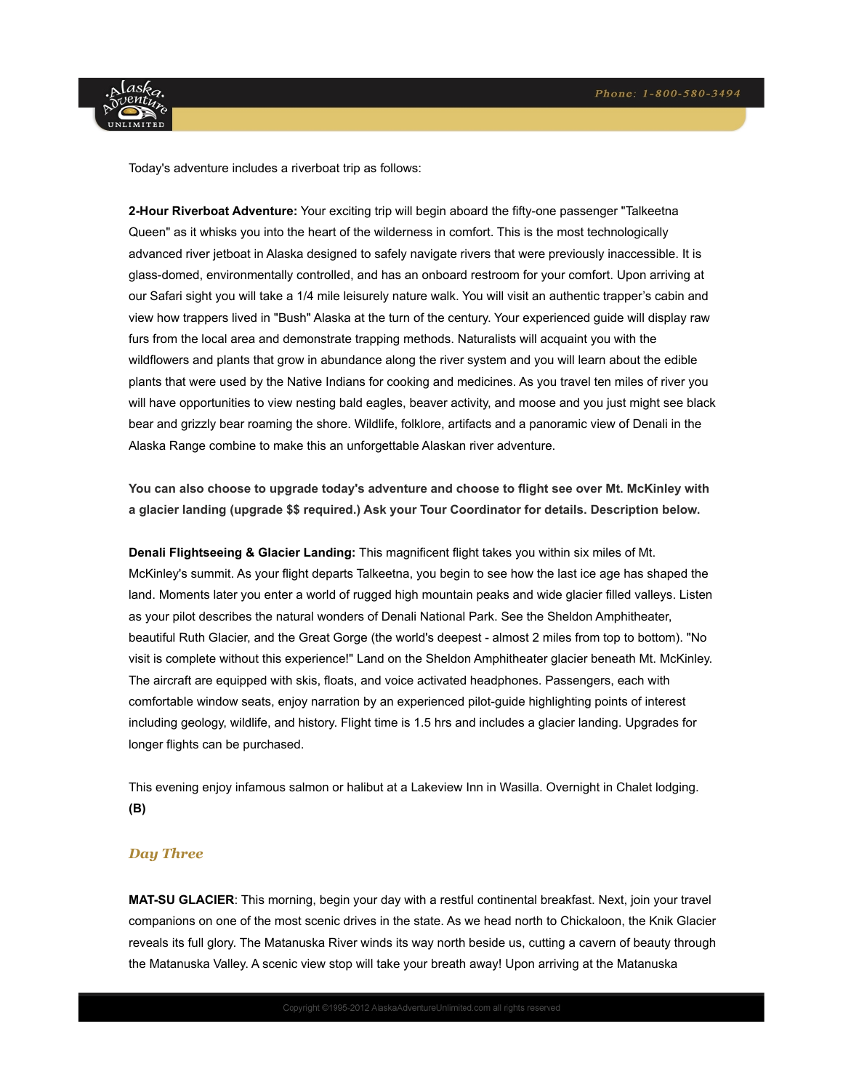

Today's adventure includes a riverboat trip as follows:

**2-Hour Riverboat Adventure:** Your exciting trip will begin aboard the fifty-one passenger "Talkeetna Queen" as it whisks you into the heart of the wilderness in comfort. This is the most technologically advanced river jetboat in Alaska designed to safely navigate rivers that were previously inaccessible. It is glass-domed, environmentally controlled, and has an onboard restroom for your comfort. Upon arriving at our Safari sight you will take a 1/4 mile leisurely nature walk. You will visit an authentic trapper's cabin and view how trappers lived in "Bush" Alaska at the turn of the century. Your experienced guide will display raw furs from the local area and demonstrate trapping methods. Naturalists will acquaint you with the wildflowers and plants that grow in abundance along the river system and you will learn about the edible plants that were used by the Native Indians for cooking and medicines. As you travel ten miles of river you will have opportunities to view nesting bald eagles, beaver activity, and moose and you just might see black bear and grizzly bear roaming the shore. Wildlife, folklore, artifacts and a panoramic view of Denali in the Alaska Range combine to make this an unforgettable Alaskan river adventure.

**You can also choose to upgrade today's adventure and choose to flight see over Mt. McKinley with a glacier landing (upgrade \$\$ required.) Ask your Tour Coordinator for details. Description below.**

**Denali Flightseeing & Glacier Landing:** This magnificent flight takes you within six miles of Mt. McKinley's summit. As your flight departs Talkeetna, you begin to see how the last ice age has shaped the land. Moments later you enter a world of rugged high mountain peaks and wide glacier filled valleys. Listen as your pilot describes the natural wonders of Denali National Park. See the Sheldon Amphitheater, beautiful Ruth Glacier, and the Great Gorge (the world's deepest - almost 2 miles from top to bottom). "No visit is complete without this experience!" Land on the Sheldon Amphitheater glacier beneath Mt. McKinley. The aircraft are equipped with skis, floats, and voice activated headphones. Passengers, each with comfortable window seats, enjoy narration by an experienced pilot-guide highlighting points of interest including geology, wildlife, and history. Flight time is 1.5 hrs and includes a glacier landing. Upgrades for longer flights can be purchased.

This evening enjoy infamous salmon or halibut at a Lakeview Inn in Wasilla. Overnight in Chalet lodging. **(B)**

# *Day Three*

**MAT-SU GLACIER**: This morning, begin your day with a restful continental breakfast. Next, join your travel companions on one of the most scenic drives in the state. As we head north to Chickaloon, the Knik Glacier reveals its full glory. The Matanuska River winds its way north beside us, cutting a cavern of beauty through the Matanuska Valley. A scenic view stop will take your breath away! Upon arriving at the Matanuska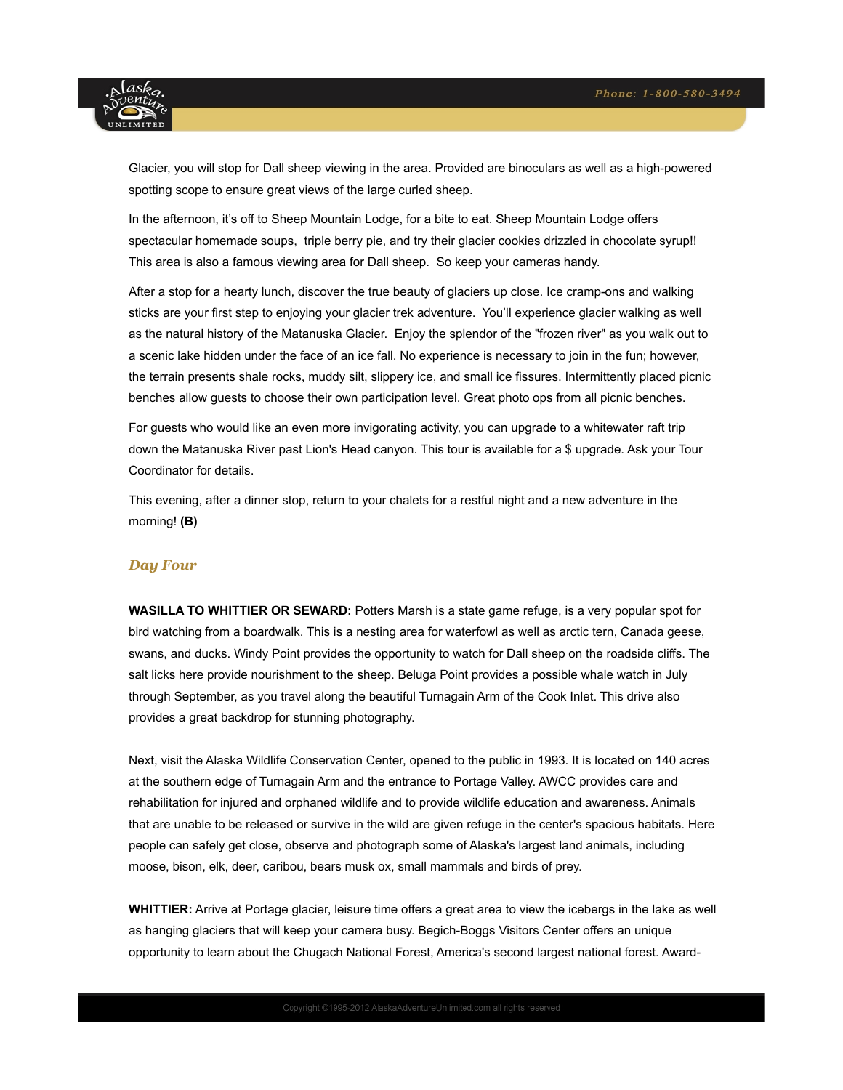

Glacier, you will stop for Dall sheep viewing in the area. Provided are binoculars as well as a high-powered spotting scope to ensure great views of the large curled sheep.

In the afternoon, it's off to Sheep Mountain Lodge, for a bite to eat. Sheep Mountain Lodge offers spectacular homemade soups, triple berry pie, and try their glacier cookies drizzled in chocolate syrup!! This area is also a famous viewing area for Dall sheep. So keep your cameras handy.

After a stop for a hearty lunch, discover the true beauty of glaciers up close. Ice cramp-ons and walking sticks are your first step to enjoying your glacier trek adventure. You'll experience glacier walking as well as the natural history of the Matanuska Glacier. Enjoy the splendor of the "frozen river" as you walk out to a scenic lake hidden under the face of an ice fall. No experience is necessary to join in the fun; however, the terrain presents shale rocks, muddy silt, slippery ice, and small ice fissures. Intermittently placed picnic benches allow guests to choose their own participation level. Great photo ops from all picnic benches.

For guests who would like an even more invigorating activity, you can upgrade to a whitewater raft trip down the Matanuska River past Lion's Head canyon. This tour is available for a \$ upgrade. Ask your Tour Coordinator for details.

This evening, after a dinner stop, return to your chalets for a restful night and a new adventure in the morning! **(B)**

# *Day Four*

**WASILLA TO WHITTIER OR SEWARD:** Potters Marsh is a state game refuge, is a very popular spot for bird watching from a boardwalk. This is a nesting area for waterfowl as well as arctic tern, Canada geese, swans, and ducks. Windy Point provides the opportunity to watch for Dall sheep on the roadside cliffs. The salt licks here provide nourishment to the sheep. Beluga Point provides a possible whale watch in July through September, as you travel along the beautiful Turnagain Arm of the Cook Inlet. This drive also provides a great backdrop for stunning photography.

Next, visit the Alaska Wildlife Conservation Center, opened to the public in 1993. It is located on 140 acres at the southern edge of Turnagain Arm and the entrance to Portage Valley. AWCC provides care and rehabilitation for injured and orphaned wildlife and to provide wildlife education and awareness. Animals that are unable to be released or survive in the wild are given refuge in the center's spacious habitats. Here people can safely get close, observe and photograph some of Alaska's largest land animals, including moose, bison, elk, deer, caribou, bears musk ox, small mammals and birds of prey.

**WHITTIER:** Arrive at Portage glacier, leisure time offers a great area to view the icebergs in the lake as well as hanging glaciers that will keep your camera busy. Begich-Boggs Visitors Center offers an unique opportunity to learn about the Chugach National Forest, America's second largest national forest. Award-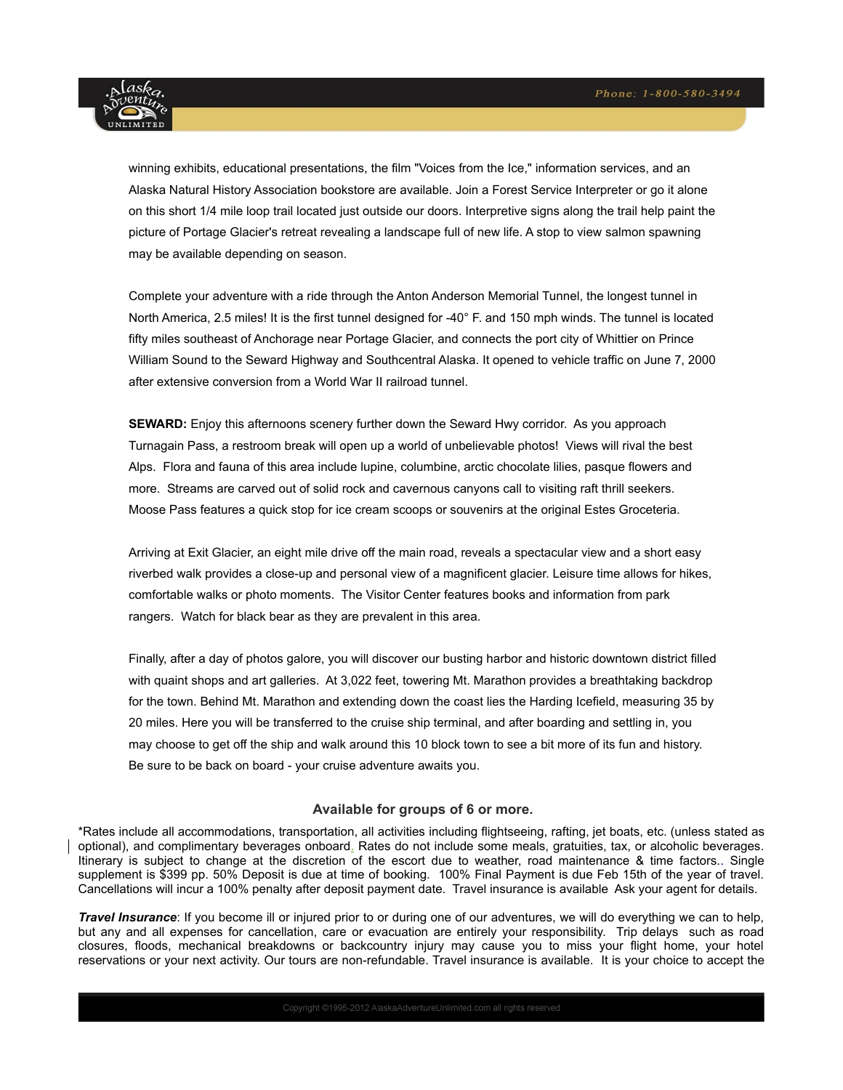

winning exhibits, educational presentations, the film "Voices from the Ice," information services, and an Alaska Natural History Association bookstore are available. Join a Forest Service Interpreter or go it alone on this short 1/4 mile loop trail located just outside our doors. Interpretive signs along the trail help paint the picture of Portage Glacier's retreat revealing a landscape full of new life. A stop to view salmon spawning may be available depending on season.

Complete your adventure with a ride through the Anton Anderson Memorial Tunnel, the longest tunnel in North America, 2.5 miles! It is the first tunnel designed for -40° F. and 150 mph winds. The tunnel is located fifty miles southeast of Anchorage near Portage Glacier, and connects the port city of Whittier on Prince William Sound to the Seward Highway and Southcentral Alaska. It opened to vehicle traffic on June 7, 2000 after extensive conversion from a World War II railroad tunnel.

**SEWARD:** Enjoy this afternoons scenery further down the Seward Hwy corridor. As you approach Turnagain Pass, a restroom break will open up a world of unbelievable photos! Views will rival the best Alps. Flora and fauna of this area include lupine, columbine, arctic chocolate lilies, pasque flowers and more. Streams are carved out of solid rock and cavernous canyons call to visiting raft thrill seekers. Moose Pass features a quick stop for ice cream scoops or souvenirs at the original Estes Groceteria.

Arriving at Exit Glacier, an eight mile drive off the main road, reveals a spectacular view and a short easy riverbed walk provides a close-up and personal view of a magnificent glacier. Leisure time allows for hikes, comfortable walks or photo moments. The Visitor Center features books and information from park rangers. Watch for black bear as they are prevalent in this area.

Finally, after a day of photos galore, you will discover our busting harbor and historic downtown district filled with quaint shops and art galleries. At 3,022 feet, towering Mt. Marathon provides a breathtaking backdrop for the town. Behind Mt. Marathon and extending down the coast lies the Harding Icefield, measuring 35 by 20 miles. Here you will be transferred to the cruise ship terminal, and after boarding and settling in, you may choose to get off the ship and walk around this 10 block town to see a bit more of its fun and history. Be sure to be back on board - your cruise adventure awaits you.

#### **Available for groups of 6 or more.**

\*Rates include all accommodations, transportation, all activities including flightseeing, rafting, jet boats, etc. (unless stated as optional), and complimentary beverages onboard. Rates do not include some meals, gratuities, tax, or alcoholic beverages. Itinerary is subject to change at the discretion of the escort due to weather, road maintenance & time factors.. Single supplement is \$399 pp. 50% Deposit is due at time of booking. 100% Final Payment is due Feb 15th of the year of travel. Cancellations will incur a 100% penalty after deposit payment date. Travel insurance is available Ask your agent for details.

*Travel Insurance*: If you become ill or injured prior to or during one of our adventures, we will do everything we can to help, but any and all expenses for cancellation, care or evacuation are entirely your responsibility. Trip delays such as road closures, floods, mechanical breakdowns or backcountry injury may cause you to miss your flight home, your hotel reservations or your next activity. Our tours are non-refundable. Travel insurance is available. It is your choice to accept the